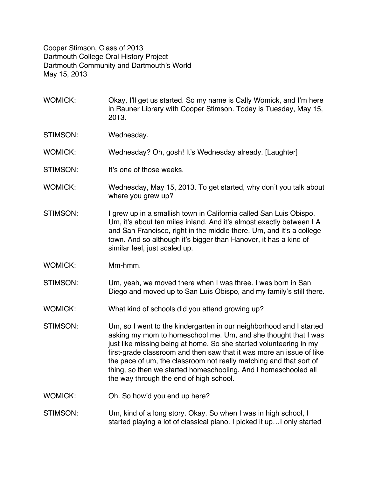Cooper Stimson, Class of 2013 Dartmouth College Oral History Project Dartmouth Community and Dartmouth's World May 15, 2013

- WOMICK: Okay, I'll get us started. So my name is Cally Womick, and I'm here in Rauner Library with Cooper Stimson. Today is Tuesday, May 15, 2013.
- STIMSON: Wednesday.
- WOMICK: Wednesday? Oh, gosh! It's Wednesday already. [Laughter]
- STIMSON: It's one of those weeks.
- WOMICK: Wednesday, May 15, 2013. To get started, why don't you talk about where you grew up?
- STIMSON: I grew up in a smallish town in California called San Luis Obispo. Um, it's about ten miles inland. And it's almost exactly between LA and San Francisco, right in the middle there. Um, and it's a college town. And so although it's bigger than Hanover, it has a kind of similar feel, just scaled up.
- WOMICK: Mm-hmm.
- STIMSON: Um, yeah, we moved there when I was three. I was born in San Diego and moved up to San Luis Obispo, and my family's still there.
- WOMICK: What kind of schools did you attend growing up?
- STIMSON: Um, so I went to the kindergarten in our neighborhood and I started asking my mom to homeschool me. Um, and she thought that I was just like missing being at home. So she started volunteering in my first-grade classroom and then saw that it was more an issue of like the pace of um, the classroom not really matching and that sort of thing, so then we started homeschooling. And I homeschooled all the way through the end of high school.
- WOMICK: Oh. So how'd you end up here?
- STIMSON: Um, kind of a long story. Okay. So when I was in high school, I started playing a lot of classical piano. I picked it up…I only started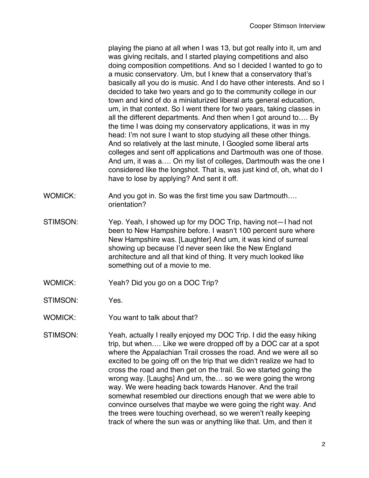playing the piano at all when I was 13, but got really into it, um and was giving recitals, and I started playing competitions and also doing composition competitions. And so I decided I wanted to go to a music conservatory. Um, but I knew that a conservatory that's basically all you do is music. And I do have other interests. And so I decided to take two years and go to the community college in our town and kind of do a miniaturized liberal arts general education, um, in that context. So I went there for two years, taking classes in all the different departments. And then when I got around to…. By the time I was doing my conservatory applications, it was in my head: I'm not sure I want to stop studying all these other things. And so relatively at the last minute, I Googled some liberal arts colleges and sent off applications and Dartmouth was one of those. And um, it was a…. On my list of colleges, Dartmouth was the one I considered like the longshot. That is, was just kind of, oh, what do I have to lose by applying? And sent it off.

- WOMICK: And you got in. So was the first time you saw Dartmouth.... orientation?
- STIMSON: Yep. Yeah, I showed up for my DOC Trip, having not—I had not been to New Hampshire before. I wasn't 100 percent sure where New Hampshire was. [Laughter] And um, it was kind of surreal showing up because I'd never seen like the New England architecture and all that kind of thing. It very much looked like something out of a movie to me.
- WOMICK: Yeah? Did you go on a DOC Trip?
- STIMSON: Yes.
- WOMICK: You want to talk about that?
- STIMSON: Yeah, actually I really enjoyed my DOC Trip. I did the easy hiking trip, but when…. Like we were dropped off by a DOC car at a spot where the Appalachian Trail crosses the road. And we were all so excited to be going off on the trip that we didn't realize we had to cross the road and then get on the trail. So we started going the wrong way. [Laughs] And um, the… so we were going the wrong way. We were heading back towards Hanover. And the trail somewhat resembled our directions enough that we were able to convince ourselves that maybe we were going the right way. And the trees were touching overhead, so we weren't really keeping track of where the sun was or anything like that. Um, and then it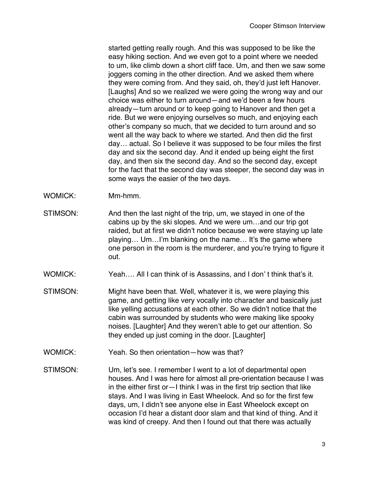started getting really rough. And this was supposed to be like the easy hiking section. And we even got to a point where we needed to um, like climb down a short cliff face. Um, and then we saw some joggers coming in the other direction. And we asked them where they were coming from. And they said, oh, they'd just left Hanover. [Laughs] And so we realized we were going the wrong way and our choice was either to turn around—and we'd been a few hours already—turn around or to keep going to Hanover and then get a ride. But we were enjoying ourselves so much, and enjoying each other's company so much, that we decided to turn around and so went all the way back to where we started. And then did the first day… actual. So I believe it was supposed to be four miles the first day and six the second day. And it ended up being eight the first day, and then six the second day. And so the second day, except for the fact that the second day was steeper, the second day was in some ways the easier of the two days.

- WOMICK: Mm-hmm.
- STIMSON: And then the last night of the trip, um, we stayed in one of the cabins up by the ski slopes. And we were um…and our trip got raided, but at first we didn't notice because we were staying up late playing… Um…I'm blanking on the name… It's the game where one person in the room is the murderer, and you're trying to figure it out.
- WOMICK: Yeah…. All I can think of is Assassins, and I don' t think that's it.
- STIMSON: Might have been that. Well, whatever it is, we were playing this game, and getting like very vocally into character and basically just like yelling accusations at each other. So we didn't notice that the cabin was surrounded by students who were making like spooky noises. [Laughter] And they weren't able to get our attention. So they ended up just coming in the door. [Laughter]
- WOMICK: Yeah. So then orientation—how was that?
- STIMSON: Um, let's see. I remember I went to a lot of departmental open houses. And I was here for almost all pre-orientation because I was in the either first or—I think I was in the first trip section that like stays. And I was living in East Wheelock. And so for the first few days, um, I didn't see anyone else in East Wheelock except on occasion I'd hear a distant door slam and that kind of thing. And it was kind of creepy. And then I found out that there was actually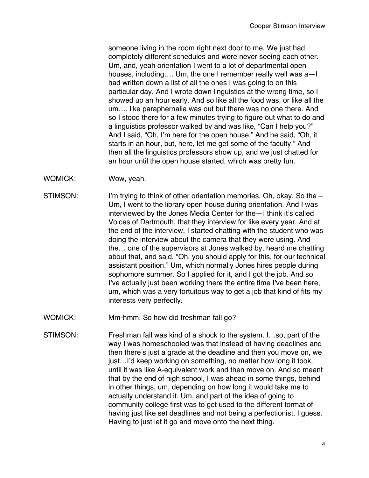someone living in the room right next door to me. We just had completely different schedules and were never seeing each other. Um, and, yeah orientation I went to a lot of departmental open houses, including…. Um, the one I remember really well was a—I had written down a list of all the ones I was going to on this particular day. And I wrote down linguistics at the wrong time, so I showed up an hour early. And so like all the food was, or like all the um…. like paraphernalia was out but there was no one there. And so I stood there for a few minutes trying to figure out what to do and a linguistics professor walked by and was like, "Can I help you?" And I said, "Oh, I'm here for the open house." And he said, "Oh, it starts in an hour, but, here, let me get some of the faculty." And then all the linguistics professors show up, and we just chatted for an hour until the open house started, which was pretty fun.

- WOMICK: Wow, yeah.
- STIMSON: I'm trying to think of other orientation memories. Oh, okay. So the Um, I went to the library open house during orientation. And I was interviewed by the Jones Media Center for the—I think it's called Voices of Dartmouth, that they interview for like every year. And at the end of the interview, I started chatting with the student who was doing the interview about the camera that they were using. And the… one of the supervisors at Jones walked by, heard me chatting about that, and said, "Oh, you should apply for this, for our technical assistant position." Um, which normally Jones hires people during sophomore summer. So I applied for it, and I got the job. And so I've actually just been working there the entire time I've been here, um, which was a very fortuitous way to get a job that kind of fits my interests very perfectly.
- WOMICK: Mm-hmm. So how did freshman fall go?
- STIMSON: Freshman fall was kind of a shock to the system. I…so, part of the way I was homeschooled was that instead of having deadlines and then there's just a grade at the deadline and then you move on, we just…I'd keep working on something, no matter how long it took, until it was like A-equivalent work and then move on. And so meant that by the end of high school, I was ahead in some things, behind in other things, um, depending on how long it would take me to actually understand it. Um, and part of the idea of going to community college first was to get used to the different format of having just like set deadlines and not being a perfectionist, I guess. Having to just let it go and move onto the next thing.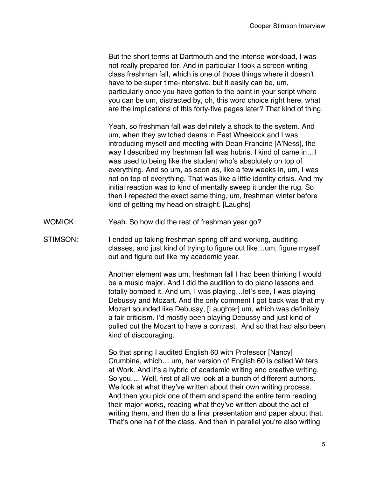But the short terms at Dartmouth and the intense workload, I was not really prepared for. And in particular I took a screen writing class freshman fall, which is one of those things where it doesn't have to be super time-intensive, but it easily can be, um, particularly once you have gotten to the point in your script where you can be um, distracted by, oh, this word choice right here, what are the implications of this forty-five pages later? That kind of thing.

Yeah, so freshman fall was definitely a shock to the system. And um, when they switched deans in East Wheelock and I was introducing myself and meeting with Dean Francine [A'Ness], the way I described my freshman fall was hubris. I kind of came in…I was used to being like the student who's absolutely on top of everything. And so um, as soon as, like a few weeks in, um, I was not on top of everything. That was like a little identity crisis. And my initial reaction was to kind of mentally sweep it under the rug. So then I repeated the exact same thing, um, freshman winter before kind of getting my head on straight. [Laughs]

- WOMICK: Yeah. So how did the rest of freshman year go?
- STIMSON: I ended up taking freshman spring off and working, auditing classes, and just kind of trying to figure out like…um, figure myself out and figure out like my academic year.

Another element was um, freshman fall I had been thinking I would be a music major. And I did the audition to do piano lessons and totally bombed it. And um, I was playing…let's see, I was playing Debussy and Mozart. And the only comment I got back was that my Mozart sounded like Debussy, [Laughter] um, which was definitely a fair criticism. I'd mostly been playing Debussy and just kind of pulled out the Mozart to have a contrast. And so that had also been kind of discouraging.

So that spring I audited English 60 with Professor [Nancy] Crumbine, which… um, her version of English 60 is called Writers at Work. And it's a hybrid of academic writing and creative writing. So you…. Well, first of all we look at a bunch of different authors. We look at what they've written about their own writing process. And then you pick one of them and spend the entire term reading their major works, reading what they've written about the act of writing them, and then do a final presentation and paper about that. That's one half of the class. And then in parallel you're also writing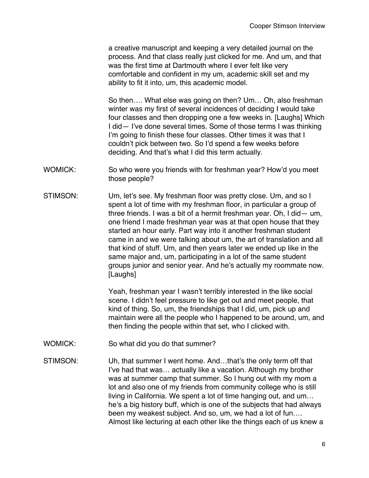a creative manuscript and keeping a very detailed journal on the process. And that class really just clicked for me. And um, and that was the first time at Dartmouth where I ever felt like very comfortable and confident in my um, academic skill set and my ability to fit it into, um, this academic model.

So then…. What else was going on then? Um… Oh, also freshman winter was my first of several incidences of deciding I would take four classes and then dropping one a few weeks in. [Laughs] Which I did— I've done several times. Some of those terms I was thinking I'm going to finish these four classes. Other times it was that I couldn't pick between two. So I'd spend a few weeks before deciding. And that's what I did this term actually.

- WOMICK: So who were you friends with for freshman year? How'd you meet those people?
- STIMSON: Um, let's see. My freshman floor was pretty close. Um, and so I spent a lot of time with my freshman floor, in particular a group of three friends. I was a bit of a hermit freshman year. Oh, I did— um, one friend I made freshman year was at that open house that they started an hour early. Part way into it another freshman student came in and we were talking about um, the art of translation and all that kind of stuff. Um, and then years later we ended up like in the same major and, um, participating in a lot of the same student groups junior and senior year. And he's actually my roommate now. [Laughs]

Yeah, freshman year I wasn't terribly interested in the like social scene. I didn't feel pressure to like get out and meet people, that kind of thing. So, um, the friendships that I did, um, pick up and maintain were all the people who I happened to be around, um, and then finding the people within that set, who I clicked with.

- WOMICK: So what did you do that summer?
- STIMSON: Uh, that summer I went home. And…that's the only term off that I've had that was… actually like a vacation. Although my brother was at summer camp that summer. So I hung out with my mom a lot and also one of my friends from community college who is still living in California. We spent a lot of time hanging out, and um… he's a big history buff, which is one of the subjects that had always been my weakest subject. And so, um, we had a lot of fun…. Almost like lecturing at each other like the things each of us knew a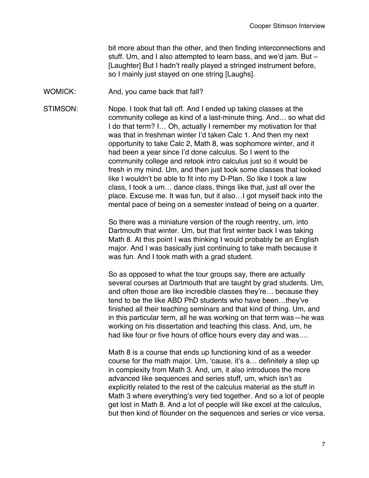bit more about than the other, and then finding interconnections and stuff. Um, and I also attempted to learn bass, and we'd jam. But – [Laughter] But I hadn't really played a stringed instrument before, so I mainly just stayed on one string [Laughs].

WOMICK: And, you came back that fall?

STIMSON: Nope. I took that fall off. And I ended up taking classes at the community college as kind of a last-minute thing. And… so what did I do that term? I… Oh, actually I remember my motivation for that was that in freshman winter I'd taken Calc 1. And then my next opportunity to take Calc 2, Math 8, was sophomore winter, and it had been a year since I'd done calculus. So I went to the community college and retook intro calculus just so it would be fresh in my mind. Um, and then just took some classes that looked like I wouldn't be able to fit into my D-Plan. So like I took a law class, I took a um… dance class, things like that, just all over the place. Excuse me. It was fun, but it also…I got myself back into the mental pace of being on a semester instead of being on a quarter.

> So there was a miniature version of the rough reentry, um, into Dartmouth that winter. Um, but that first winter back I was taking Math 8. At this point I was thinking I would probably be an English major. And I was basically just continuing to take math because it was fun. And I took math with a grad student.

So as opposed to what the tour groups say, there are actually several courses at Dartmouth that are taught by grad students. Um, and often those are like incredible classes they're… because they tend to be the like ABD PhD students who have been…they've finished all their teaching seminars and that kind of thing. Um, and in this particular term, all he was working on that term was—he was working on his dissertation and teaching this class. And, um, he had like four or five hours of office hours every day and was….

Math 8 is a course that ends up functioning kind of as a weeder course for the math major. Um, 'cause, it's a… definitely a step up in complexity from Math 3. And, um, it also introduces the more advanced like sequences and series stuff, um, which isn't as explicitly related to the rest of the calculus material as the stuff in Math 3 where everything's very tied together. And so a lot of people get lost in Math 8. And a lot of people will like excel at the calculus, but then kind of flounder on the sequences and series or vice versa.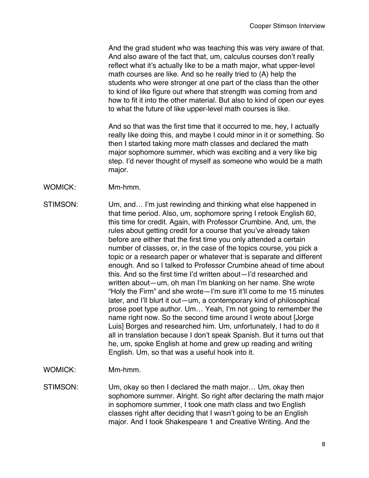And the grad student who was teaching this was very aware of that. And also aware of the fact that, um, calculus courses don't really reflect what it's actually like to be a math major, what upper-level math courses are like. And so he really tried to (A) help the students who were stronger at one part of the class than the other to kind of like figure out where that strength was coming from and how to fit it into the other material. But also to kind of open our eyes to what the future of like upper-level math courses is like.

And so that was the first time that it occurred to me, hey, I actually really like doing this, and maybe I could minor in it or something. So then I started taking more math classes and declared the math major sophomore summer, which was exciting and a very like big step. I'd never thought of myself as someone who would be a math major.

- WOMICK: Mm-hmm.
- STIMSON: Um, and… I'm just rewinding and thinking what else happened in that time period. Also, um, sophomore spring I retook English 60, this time for credit. Again, with Professor Crumbine. And, um, the rules about getting credit for a course that you've already taken before are either that the first time you only attended a certain number of classes, or, in the case of the topics course, you pick a topic or a research paper or whatever that is separate and different enough. And so I talked to Professor Crumbine ahead of time about this. And so the first time I'd written about—I'd researched and written about—um, oh man I'm blanking on her name. She wrote "Holy the Firm" and she wrote—I'm sure it'll come to me 15 minutes later, and I'll blurt it out—um, a contemporary kind of philosophical prose poet type author. Um… Yeah, I'm not going to remember the name right now. So the second time around I wrote about [Jorge Luis] Borges and researched him. Um, unfortunately, I had to do it all in translation because I don't speak Spanish. But it turns out that he, um, spoke English at home and grew up reading and writing English. Um, so that was a useful hook into it.
- WOMICK: Mm-hmm.
- STIMSON: Um, okay so then I declared the math major… Um, okay then sophomore summer. Alright. So right after declaring the math major in sophomore summer, I took one math class and two English classes right after deciding that I wasn't going to be an English major. And I took Shakespeare 1 and Creative Writing. And the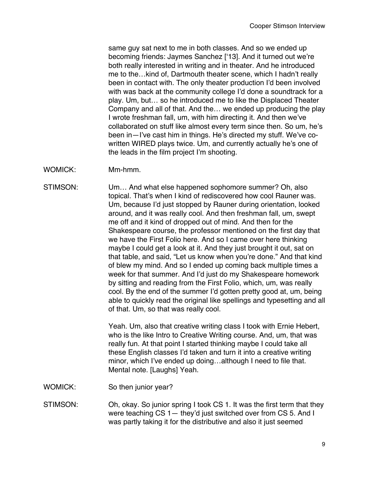same guy sat next to me in both classes. And so we ended up becoming friends: Jaymes Sanchez ['13]. And it turned out we're both really interested in writing and in theater. And he introduced me to the…kind of, Dartmouth theater scene, which I hadn't really been in contact with. The only theater production I'd been involved with was back at the community college I'd done a soundtrack for a play. Um, but… so he introduced me to like the Displaced Theater Company and all of that. And the… we ended up producing the play I wrote freshman fall, um, with him directing it. And then we've collaborated on stuff like almost every term since then. So um, he's been in—I've cast him in things. He's directed my stuff. We've cowritten WIRED plays twice. Um, and currently actually he's one of the leads in the film project I'm shooting.

WOMICK: Mm-hmm.

STIMSON: Um… And what else happened sophomore summer? Oh, also topical. That's when I kind of rediscovered how cool Rauner was. Um, because I'd just stopped by Rauner during orientation, looked around, and it was really cool. And then freshman fall, um, swept me off and it kind of dropped out of mind. And then for the Shakespeare course, the professor mentioned on the first day that we have the First Folio here. And so I came over here thinking maybe I could get a look at it. And they just brought it out, sat on that table, and said, "Let us know when you're done." And that kind of blew my mind. And so I ended up coming back multiple times a week for that summer. And I'd just do my Shakespeare homework by sitting and reading from the First Folio, which, um, was really cool. By the end of the summer I'd gotten pretty good at, um, being able to quickly read the original like spellings and typesetting and all of that. Um, so that was really cool.

> Yeah. Um, also that creative writing class I took with Ernie Hebert, who is the like Intro to Creative Writing course. And, um, that was really fun. At that point I started thinking maybe I could take all these English classes I'd taken and turn it into a creative writing minor, which I've ended up doing…although I need to file that. Mental note. [Laughs] Yeah.

WOMICK: So then junior year?

STIMSON: Oh, okay. So junior spring I took CS 1. It was the first term that they were teaching CS 1— they'd just switched over from CS 5. And I was partly taking it for the distributive and also it just seemed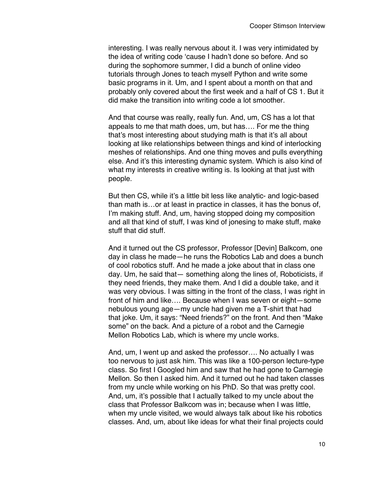interesting. I was really nervous about it. I was very intimidated by the idea of writing code 'cause I hadn't done so before. And so during the sophomore summer, I did a bunch of online video tutorials through Jones to teach myself Python and write some basic programs in it. Um, and I spent about a month on that and probably only covered about the first week and a half of CS 1. But it did make the transition into writing code a lot smoother.

And that course was really, really fun. And, um, CS has a lot that appeals to me that math does, um, but has…. For me the thing that's most interesting about studying math is that it's all about looking at like relationships between things and kind of interlocking meshes of relationships. And one thing moves and pulls everything else. And it's this interesting dynamic system. Which is also kind of what my interests in creative writing is. Is looking at that just with people.

But then CS, while it's a little bit less like analytic- and logic-based than math is…or at least in practice in classes, it has the bonus of, I'm making stuff. And, um, having stopped doing my composition and all that kind of stuff, I was kind of jonesing to make stuff, make stuff that did stuff.

And it turned out the CS professor, Professor [Devin] Balkcom, one day in class he made—he runs the Robotics Lab and does a bunch of cool robotics stuff. And he made a joke about that in class one day. Um, he said that— something along the lines of, Roboticists, if they need friends, they make them. And I did a double take, and it was very obvious. I was sitting in the front of the class, I was right in front of him and like…. Because when I was seven or eight—some nebulous young age—my uncle had given me a T-shirt that had that joke. Um, it says: "Need friends?" on the front. And then "Make some" on the back. And a picture of a robot and the Carnegie Mellon Robotics Lab, which is where my uncle works.

And, um, I went up and asked the professor…. No actually I was too nervous to just ask him. This was like a 100-person lecture-type class. So first I Googled him and saw that he had gone to Carnegie Mellon. So then I asked him. And it turned out he had taken classes from my uncle while working on his PhD. So that was pretty cool. And, um, it's possible that I actually talked to my uncle about the class that Professor Balkcom was in; because when I was little, when my uncle visited, we would always talk about like his robotics classes. And, um, about like ideas for what their final projects could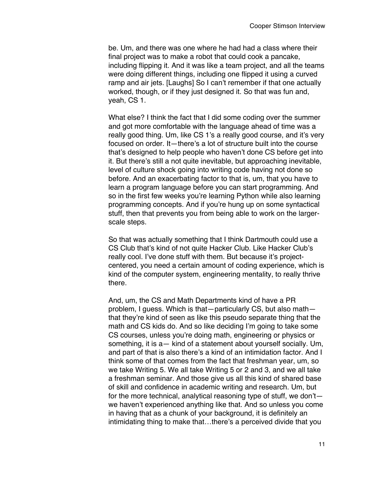be. Um, and there was one where he had had a class where their final project was to make a robot that could cook a pancake, including flipping it. And it was like a team project, and all the teams were doing different things, including one flipped it using a curved ramp and air jets. [Laughs] So I can't remember if that one actually worked, though, or if they just designed it. So that was fun and, yeah, CS 1.

What else? I think the fact that I did some coding over the summer and got more comfortable with the language ahead of time was a really good thing. Um, like CS 1's a really good course, and it's very focused on order. It—there's a lot of structure built into the course that's designed to help people who haven't done CS before get into it. But there's still a not quite inevitable, but approaching inevitable, level of culture shock going into writing code having not done so before. And an exacerbating factor to that is, um, that you have to learn a program language before you can start programming. And so in the first few weeks you're learning Python while also learning programming concepts. And if you're hung up on some syntactical stuff, then that prevents you from being able to work on the largerscale steps.

So that was actually something that I think Dartmouth could use a CS Club that's kind of not quite Hacker Club. Like Hacker Club's really cool. I've done stuff with them. But because it's projectcentered, you need a certain amount of coding experience, which is kind of the computer system, engineering mentality, to really thrive there.

And, um, the CS and Math Departments kind of have a PR problem, I guess. Which is that—particularly CS, but also math that they're kind of seen as like this pseudo separate thing that the math and CS kids do. And so like deciding I'm going to take some CS courses, unless you're doing math, engineering or physics or something, it is a— kind of a statement about yourself socially. Um, and part of that is also there's a kind of an intimidation factor. And I think some of that comes from the fact that freshman year, um, so we take Writing 5. We all take Writing 5 or 2 and 3, and we all take a freshman seminar. And those give us all this kind of shared base of skill and confidence in academic writing and research. Um, but for the more technical, analytical reasoning type of stuff, we don't we haven't experienced anything like that. And so unless you come in having that as a chunk of your background, it is definitely an intimidating thing to make that…there's a perceived divide that you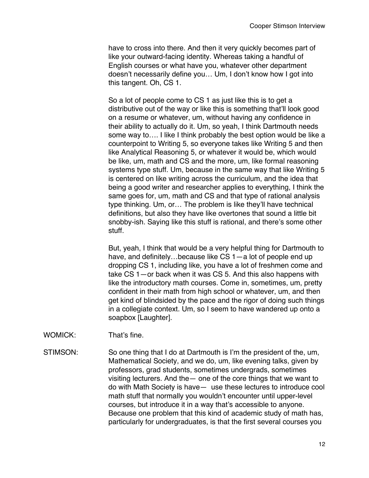have to cross into there. And then it very quickly becomes part of like your outward-facing identity. Whereas taking a handful of English courses or what have you, whatever other department doesn't necessarily define you… Um, I don't know how I got into this tangent. Oh, CS 1.

So a lot of people come to CS 1 as just like this is to get a distributive out of the way or like this is something that'll look good on a resume or whatever, um, without having any confidence in their ability to actually do it. Um, so yeah, I think Dartmouth needs some way to.... I like I think probably the best option would be like a counterpoint to Writing 5, so everyone takes like Writing 5 and then like Analytical Reasoning 5, or whatever it would be, which would be like, um, math and CS and the more, um, like formal reasoning systems type stuff. Um, because in the same way that like Writing 5 is centered on like writing across the curriculum, and the idea that being a good writer and researcher applies to everything, I think the same goes for, um, math and CS and that type of rational analysis type thinking. Um, or… The problem is like they'll have technical definitions, but also they have like overtones that sound a little bit snobby-ish. Saying like this stuff is rational, and there's some other stuff.

But, yeah, I think that would be a very helpful thing for Dartmouth to have, and definitely...because like CS 1-a lot of people end up dropping CS 1, including like, you have a lot of freshmen come and take CS 1—or back when it was CS 5. And this also happens with like the introductory math courses. Come in, sometimes, um, pretty confident in their math from high school or whatever, um, and then get kind of blindsided by the pace and the rigor of doing such things in a collegiate context. Um, so I seem to have wandered up onto a soapbox [Laughter].

- WOMICK: That's fine.
- STIMSON: So one thing that I do at Dartmouth is I'm the president of the, um, Mathematical Society, and we do, um, like evening talks, given by professors, grad students, sometimes undergrads, sometimes visiting lecturers. And the— one of the core things that we want to do with Math Society is have— use these lectures to introduce cool math stuff that normally you wouldn't encounter until upper-level courses, but introduce it in a way that's accessible to anyone. Because one problem that this kind of academic study of math has, particularly for undergraduates, is that the first several courses you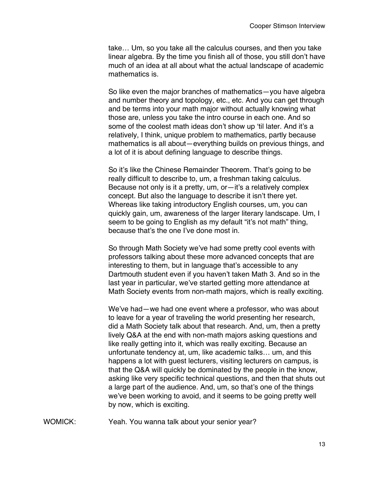take… Um, so you take all the calculus courses, and then you take linear algebra. By the time you finish all of those, you still don't have much of an idea at all about what the actual landscape of academic mathematics is.

So like even the major branches of mathematics—you have algebra and number theory and topology, etc., etc. And you can get through and be terms into your math major without actually knowing what those are, unless you take the intro course in each one. And so some of the coolest math ideas don't show up 'til later. And it's a relatively, I think, unique problem to mathematics, partly because mathematics is all about—everything builds on previous things, and a lot of it is about defining language to describe things.

So it's like the Chinese Remainder Theorem. That's going to be really difficult to describe to, um, a freshman taking calculus. Because not only is it a pretty, um, or-it's a relatively complex concept. But also the language to describe it isn't there yet. Whereas like taking introductory English courses, um, you can quickly gain, um, awareness of the larger literary landscape. Um, I seem to be going to English as my default "it's not math" thing, because that's the one I've done most in.

So through Math Society we've had some pretty cool events with professors talking about these more advanced concepts that are interesting to them, but in language that's accessible to any Dartmouth student even if you haven't taken Math 3. And so in the last year in particular, we've started getting more attendance at Math Society events from non-math majors, which is really exciting.

We've had—we had one event where a professor, who was about to leave for a year of traveling the world presenting her research, did a Math Society talk about that research. And, um, then a pretty lively Q&A at the end with non-math majors asking questions and like really getting into it, which was really exciting. Because an unfortunate tendency at, um, like academic talks… um, and this happens a lot with guest lecturers, visiting lecturers on campus, is that the Q&A will quickly be dominated by the people in the know, asking like very specific technical questions, and then that shuts out a large part of the audience. And, um, so that's one of the things we've been working to avoid, and it seems to be going pretty well by now, which is exciting.

WOMICK: Yeah. You wanna talk about your senior year?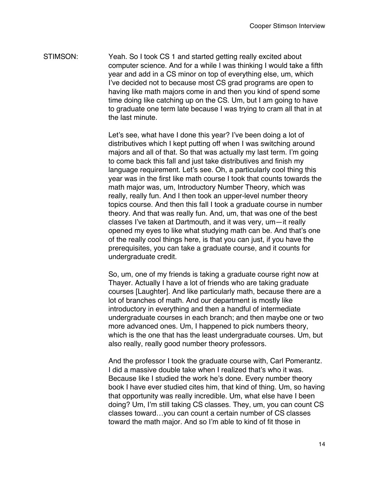STIMSON: Yeah. So I took CS 1 and started getting really excited about computer science. And for a while I was thinking I would take a fifth year and add in a CS minor on top of everything else, um, which I've decided not to because most CS grad programs are open to having like math majors come in and then you kind of spend some time doing like catching up on the CS. Um, but I am going to have to graduate one term late because I was trying to cram all that in at the last minute.

> Let's see, what have I done this year? I've been doing a lot of distributives which I kept putting off when I was switching around majors and all of that. So that was actually my last term. I'm going to come back this fall and just take distributives and finish my language requirement. Let's see. Oh, a particularly cool thing this year was in the first like math course I took that counts towards the math major was, um, Introductory Number Theory, which was really, really fun. And I then took an upper-level number theory topics course. And then this fall I took a graduate course in number theory. And that was really fun. And, um, that was one of the best classes I've taken at Dartmouth, and it was very, um—it really opened my eyes to like what studying math can be. And that's one of the really cool things here, is that you can just, if you have the prerequisites, you can take a graduate course, and it counts for undergraduate credit.

> So, um, one of my friends is taking a graduate course right now at Thayer. Actually I have a lot of friends who are taking graduate courses [Laughter]. And like particularly math, because there are a lot of branches of math. And our department is mostly like introductory in everything and then a handful of intermediate undergraduate courses in each branch; and then maybe one or two more advanced ones. Um, I happened to pick numbers theory, which is the one that has the least undergraduate courses. Um, but also really, really good number theory professors.

> And the professor I took the graduate course with, Carl Pomerantz. I did a massive double take when I realized that's who it was. Because like I studied the work he's done. Every number theory book I have ever studied cites him, that kind of thing. Um, so having that opportunity was really incredible. Um, what else have I been doing? Um, I'm still taking CS classes. They, um, you can count CS classes toward…you can count a certain number of CS classes toward the math major. And so I'm able to kind of fit those in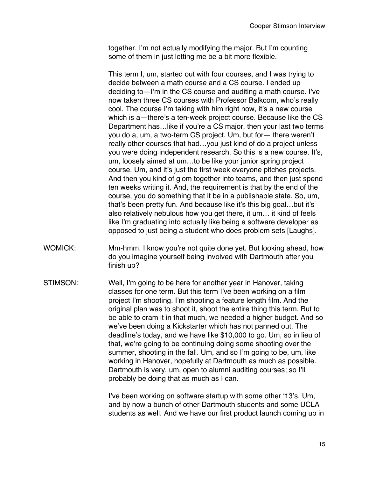together. I'm not actually modifying the major. But I'm counting some of them in just letting me be a bit more flexible.

This term I, um, started out with four courses, and I was trying to decide between a math course and a CS course. I ended up deciding to—I'm in the CS course and auditing a math course. I've now taken three CS courses with Professor Balkcom, who's really cool. The course I'm taking with him right now, it's a new course which is a—there's a ten-week project course. Because like the CS Department has…like if you're a CS major, then your last two terms you do a, um, a two-term CS project. Um, but for— there weren't really other courses that had…you just kind of do a project unless you were doing independent research. So this is a new course. It's, um, loosely aimed at um…to be like your junior spring project course. Um, and it's just the first week everyone pitches projects. And then you kind of glom together into teams, and then just spend ten weeks writing it. And, the requirement is that by the end of the course, you do something that it be in a publishable state. So, um, that's been pretty fun. And because like it's this big goal…but it's also relatively nebulous how you get there, it um… it kind of feels like I'm graduating into actually like being a software developer as opposed to just being a student who does problem sets [Laughs].

- WOMICK: Mm-hmm. I know you're not quite done yet. But looking ahead, how do you imagine yourself being involved with Dartmouth after you finish up?
- STIMSON: Well, I'm going to be here for another year in Hanover, taking classes for one term. But this term I've been working on a film project I'm shooting. I'm shooting a feature length film. And the original plan was to shoot it, shoot the entire thing this term. But to be able to cram it in that much, we needed a higher budget. And so we've been doing a Kickstarter which has not panned out. The deadline's today, and we have like \$10,000 to go. Um, so in lieu of that, we're going to be continuing doing some shooting over the summer, shooting in the fall. Um, and so I'm going to be, um, like working in Hanover, hopefully at Dartmouth as much as possible. Dartmouth is very, um, open to alumni auditing courses; so I'll probably be doing that as much as I can.

I've been working on software startup with some other '13's. Um, and by now a bunch of other Dartmouth students and some UCLA students as well. And we have our first product launch coming up in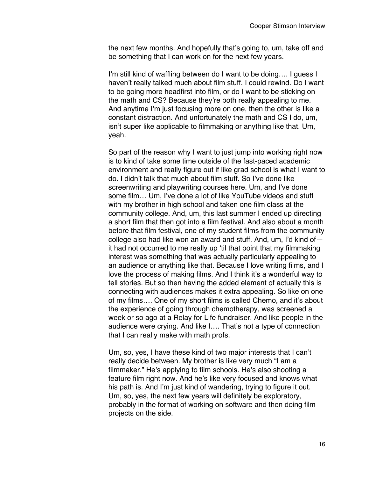the next few months. And hopefully that's going to, um, take off and be something that I can work on for the next few years.

I'm still kind of waffling between do I want to be doing…. I guess I haven't really talked much about film stuff. I could rewind. Do I want to be going more headfirst into film, or do I want to be sticking on the math and CS? Because they're both really appealing to me. And anytime I'm just focusing more on one, then the other is like a constant distraction. And unfortunately the math and CS I do, um, isn't super like applicable to filmmaking or anything like that. Um, yeah.

So part of the reason why I want to just jump into working right now is to kind of take some time outside of the fast-paced academic environment and really figure out if like grad school is what I want to do. I didn't talk that much about film stuff. So I've done like screenwriting and playwriting courses here. Um, and I've done some film… Um, I've done a lot of like YouTube videos and stuff with my brother in high school and taken one film class at the community college. And, um, this last summer I ended up directing a short film that then got into a film festival. And also about a month before that film festival, one of my student films from the community college also had like won an award and stuff. And, um, I'd kind of it had not occurred to me really up 'til that point that my filmmaking interest was something that was actually particularly appealing to an audience or anything like that. Because I love writing films, and I love the process of making films. And I think it's a wonderful way to tell stories. But so then having the added element of actually this is connecting with audiences makes it extra appealing. So like on one of my films…. One of my short films is called Chemo, and it's about the experience of going through chemotherapy, was screened a week or so ago at a Relay for Life fundraiser. And like people in the audience were crying. And like I…. That's not a type of connection that I can really make with math profs.

Um, so, yes, I have these kind of two major interests that I can't really decide between. My brother is like very much "I am a filmmaker." He's applying to film schools. He's also shooting a feature film right now. And he's like very focused and knows what his path is. And I'm just kind of wandering, trying to figure it out. Um, so, yes, the next few years will definitely be exploratory, probably in the format of working on software and then doing film projects on the side.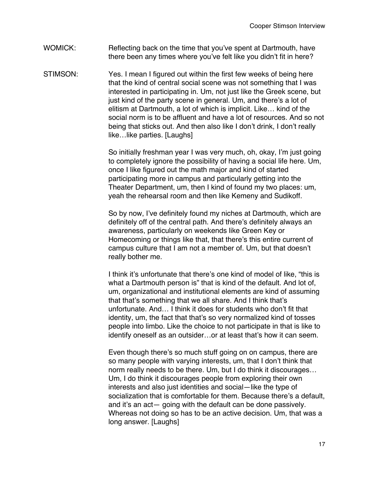## WOMICK: Reflecting back on the time that you've spent at Dartmouth, have there been any times where you've felt like you didn't fit in here?

STIMSON: Yes. I mean I figured out within the first few weeks of being here that the kind of central social scene was not something that I was interested in participating in. Um, not just like the Greek scene, but just kind of the party scene in general. Um, and there's a lot of elitism at Dartmouth, a lot of which is implicit. Like… kind of the social norm is to be affluent and have a lot of resources. And so not being that sticks out. And then also like I don't drink, I don't really like…like parties. [Laughs]

> So initially freshman year I was very much, oh, okay, I'm just going to completely ignore the possibility of having a social life here. Um, once I like figured out the math major and kind of started participating more in campus and particularly getting into the Theater Department, um, then I kind of found my two places: um, yeah the rehearsal room and then like Kemeny and Sudikoff.

> So by now, I've definitely found my niches at Dartmouth, which are definitely off of the central path. And there's definitely always an awareness, particularly on weekends like Green Key or Homecoming or things like that, that there's this entire current of campus culture that I am not a member of. Um, but that doesn't really bother me.

> I think it's unfortunate that there's one kind of model of like, "this is what a Dartmouth person is" that is kind of the default. And lot of, um, organizational and institutional elements are kind of assuming that that's something that we all share. And I think that's unfortunate. And… I think it does for students who don't fit that identity, um, the fact that that's so very normalized kind of tosses people into limbo. Like the choice to not participate in that is like to identify oneself as an outsider…or at least that's how it can seem.

Even though there's so much stuff going on on campus, there are so many people with varying interests, um, that I don't think that norm really needs to be there. Um, but I do think it discourages… Um, I do think it discourages people from exploring their own interests and also just identities and social—like the type of socialization that is comfortable for them. Because there's a default, and it's an act— going with the default can be done passively. Whereas not doing so has to be an active decision. Um, that was a long answer. [Laughs]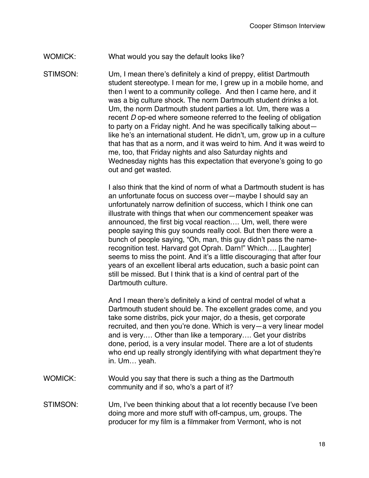## WOMICK: What would you say the default looks like?

STIMSON: Um, I mean there's definitely a kind of preppy, elitist Dartmouth student stereotype. I mean for me, I grew up in a mobile home, and then I went to a community college. And then I came here, and it was a big culture shock. The norm Dartmouth student drinks a lot. Um, the norm Dartmouth student parties a lot. Um, there was a recent *D* op-ed where someone referred to the feeling of obligation to party on a Friday night. And he was specifically talking about like he's an international student. He didn't, um, grow up in a culture that has that as a norm, and it was weird to him. And it was weird to me, too, that Friday nights and also Saturday nights and Wednesday nights has this expectation that everyone's going to go out and get wasted.

> I also think that the kind of norm of what a Dartmouth student is has an unfortunate focus on success over—maybe I should say an unfortunately narrow definition of success, which I think one can illustrate with things that when our commencement speaker was announced, the first big vocal reaction…. Um, well, there were people saying this guy sounds really cool. But then there were a bunch of people saying, "Oh, man, this guy didn't pass the namerecognition test. Harvard got Oprah. Darn!" Which…. [Laughter] seems to miss the point. And it's a little discouraging that after four years of an excellent liberal arts education, such a basic point can still be missed. But I think that is a kind of central part of the Dartmouth culture.

> And I mean there's definitely a kind of central model of what a Dartmouth student should be. The excellent grades come, and you take some distribs, pick your major, do a thesis, get corporate recruited, and then you're done. Which is very—a very linear model and is very.… Other than like a temporary…. Get your distribs done, period, is a very insular model. There are a lot of students who end up really strongly identifying with what department they're in. Um… yeah.

- WOMICK: Would you say that there is such a thing as the Dartmouth community and if so, who's a part of it?
- STIMSON: Um, I've been thinking about that a lot recently because I've been doing more and more stuff with off-campus, um, groups. The producer for my film is a filmmaker from Vermont, who is not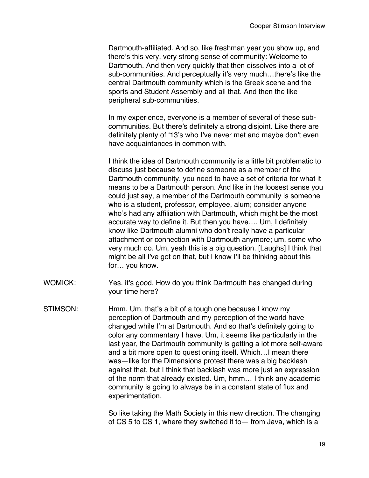Dartmouth-affiliated. And so, like freshman year you show up, and there's this very, very strong sense of community: Welcome to Dartmouth. And then very quickly that then dissolves into a lot of sub-communities. And perceptually it's very much…there's like the central Dartmouth community which is the Greek scene and the sports and Student Assembly and all that. And then the like peripheral sub-communities.

In my experience, everyone is a member of several of these subcommunities. But there's definitely a strong disjoint. Like there are definitely plenty of '13's who I've never met and maybe don't even have acquaintances in common with.

I think the idea of Dartmouth community is a little bit problematic to discuss just because to define someone as a member of the Dartmouth community, you need to have a set of criteria for what it means to be a Dartmouth person. And like in the loosest sense you could just say, a member of the Dartmouth community is someone who is a student, professor, employee, alum; consider anyone who's had any affiliation with Dartmouth, which might be the most accurate way to define it. But then you have…. Um, I definitely know like Dartmouth alumni who don't really have a particular attachment or connection with Dartmouth anymore; um, some who very much do. Um, yeah this is a big question. [Laughs] I think that might be all I've got on that, but I know I'll be thinking about this for… you know.

WOMICK: Yes, it's good. How do you think Dartmouth has changed during your time here?

STIMSON: Hmm. Um, that's a bit of a tough one because I know my perception of Dartmouth and my perception of the world have changed while I'm at Dartmouth. And so that's definitely going to color any commentary I have. Um, it seems like particularly in the last year, the Dartmouth community is getting a lot more self-aware and a bit more open to questioning itself. Which…I mean there was—like for the Dimensions protest there was a big backlash against that, but I think that backlash was more just an expression of the norm that already existed. Um, hmm… I think any academic community is going to always be in a constant state of flux and experimentation.

> So like taking the Math Society in this new direction. The changing of CS 5 to CS 1, where they switched it to— from Java, which is a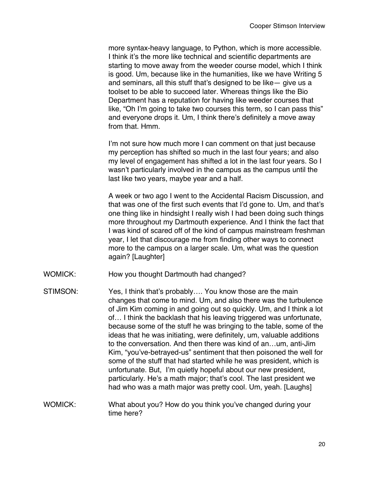more syntax-heavy language, to Python, which is more accessible. I think it's the more like technical and scientific departments are starting to move away from the weeder course model, which I think is good. Um, because like in the humanities, like we have Writing 5 and seminars, all this stuff that's designed to be like— give us a toolset to be able to succeed later. Whereas things like the Bio Department has a reputation for having like weeder courses that like, "Oh I'm going to take two courses this term, so I can pass this" and everyone drops it. Um, I think there's definitely a move away from that. Hmm.

I'm not sure how much more I can comment on that just because my perception has shifted so much in the last four years; and also my level of engagement has shifted a lot in the last four years. So I wasn't particularly involved in the campus as the campus until the last like two years, maybe year and a half.

A week or two ago I went to the Accidental Racism Discussion, and that was one of the first such events that I'd gone to. Um, and that's one thing like in hindsight I really wish I had been doing such things more throughout my Dartmouth experience. And I think the fact that I was kind of scared off of the kind of campus mainstream freshman year, I let that discourage me from finding other ways to connect more to the campus on a larger scale. Um, what was the question again? [Laughter]

- WOMICK: How you thought Dartmouth had changed?
- STIMSON: Yes, I think that's probably.... You know those are the main changes that come to mind. Um, and also there was the turbulence of Jim Kim coming in and going out so quickly. Um, and I think a lot of… I think the backlash that his leaving triggered was unfortunate, because some of the stuff he was bringing to the table, some of the ideas that he was initiating, were definitely, um, valuable additions to the conversation. And then there was kind of an…um, anti-Jim Kim, "you've-betrayed-us" sentiment that then poisoned the well for some of the stuff that had started while he was president, which is unfortunate. But, I'm quietly hopeful about our new president, particularly. He's a math major; that's cool. The last president we had who was a math major was pretty cool. Um, yeah. [Laughs]
- WOMICK: What about you? How do you think you've changed during your time here?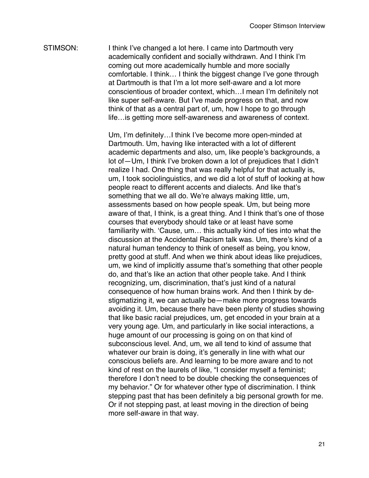STIMSON: I think I've changed a lot here. I came into Dartmouth very academically confident and socially withdrawn. And I think I'm coming out more academically humble and more socially comfortable. I think… I think the biggest change I've gone through at Dartmouth is that I'm a lot more self-aware and a lot more conscientious of broader context, which…I mean I'm definitely not like super self-aware. But I've made progress on that, and now think of that as a central part of, um, how I hope to go through life…is getting more self-awareness and awareness of context.

> Um, I'm definitely…I think I've become more open-minded at Dartmouth. Um, having like interacted with a lot of different academic departments and also, um, like people's backgrounds, a lot of—Um, I think I've broken down a lot of prejudices that I didn't realize I had. One thing that was really helpful for that actually is, um, I took sociolinguistics, and we did a lot of stuff of looking at how people react to different accents and dialects. And like that's something that we all do. We're always making little, um, assessments based on how people speak. Um, but being more aware of that, I think, is a great thing. And I think that's one of those courses that everybody should take or at least have some familiarity with. 'Cause, um… this actually kind of ties into what the discussion at the Accidental Racism talk was. Um, there's kind of a natural human tendency to think of oneself as being, you know, pretty good at stuff. And when we think about ideas like prejudices, um, we kind of implicitly assume that's something that other people do, and that's like an action that other people take. And I think recognizing, um, discrimination, that's just kind of a natural consequence of how human brains work. And then I think by destigmatizing it, we can actually be—make more progress towards avoiding it. Um, because there have been plenty of studies showing that like basic racial prejudices, um, get encoded in your brain at a very young age. Um, and particularly in like social interactions, a huge amount of our processing is going on on that kind of subconscious level. And, um, we all tend to kind of assume that whatever our brain is doing, it's generally in line with what our conscious beliefs are. And learning to be more aware and to not kind of rest on the laurels of like, "I consider myself a feminist; therefore I don't need to be double checking the consequences of my behavior." Or for whatever other type of discrimination. I think stepping past that has been definitely a big personal growth for me. Or if not stepping past, at least moving in the direction of being more self-aware in that way.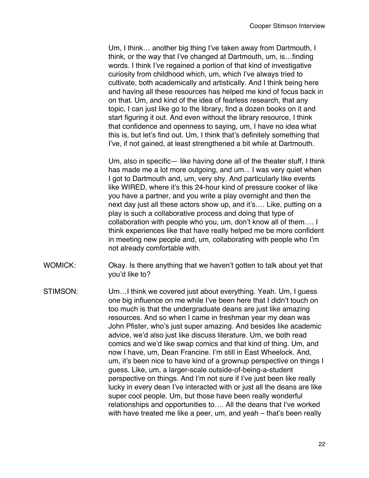Um, I think… another big thing I've taken away from Dartmouth, I think, or the way that I've changed at Dartmouth, um, is…finding words. I think I've regained a portion of that kind of investigative curiosity from childhood which, um, which I've always tried to cultivate, both academically and artistically. And I think being here and having all these resources has helped me kind of focus back in on that. Um, and kind of the idea of fearless research, that any topic, I can just like go to the library, find a dozen books on it and start figuring it out. And even without the library resource, I think that confidence and openness to saying, um, I have no idea what this is, but let's find out. Um, I think that's definitely something that I've, if not gained, at least strengthened a bit while at Dartmouth.

Um, also in specific— like having done all of the theater stuff, I think has made me a lot more outgoing, and um... I was very quiet when I got to Dartmouth and, um, very shy. And particularly like events like WIRED, where it's this 24-hour kind of pressure cooker of like you have a partner, and you write a play overnight and then the next day just all these actors show up, and it's…. Like, putting on a play is such a collaborative process and doing that type of collaboration with people who you, um, don't know all of them…. I think experiences like that have really helped me be more confident in meeting new people and, um, collaborating with people who I'm not already comfortable with.

- WOMICK: Okay. Is there anything that we haven't gotten to talk about yet that you'd like to?
- STIMSON: Um…I think we covered just about everything. Yeah. Um, I guess one big influence on me while I've been here that I didn't touch on too much is that the undergraduate deans are just like amazing resources. And so when I came in freshman year my dean was John Pfister, who's just super amazing. And besides like academic advice, we'd also just like discuss literature. Um, we both read comics and we'd like swap comics and that kind of thing. Um, and now I have, um, Dean Francine. I'm still in East Wheelock. And, um, it's been nice to have kind of a grownup perspective on things I guess. Like, um, a larger-scale outside-of-being-a-student perspective on things. And I'm not sure if I've just been like really lucky in every dean I've interacted with or just all the deans are like super cool people. Um, but those have been really wonderful relationships and opportunities to…. All the deans that I've worked with have treated me like a peer, um, and yeah – that's been really